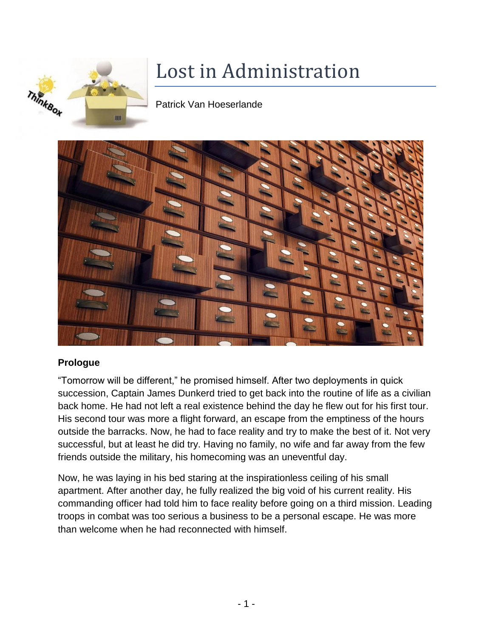

# Lost in Administration

Patrick Van Hoeserlande



## **Prologue**

"Tomorrow will be different," he promised himself. After two deployments in quick succession, Captain James Dunkerd tried to get back into the routine of life as a civilian back home. He had not left a real existence behind the day he flew out for his first tour. His second tour was more a flight forward, an escape from the emptiness of the hours outside the barracks. Now, he had to face reality and try to make the best of it. Not very successful, but at least he did try. Having no family, no wife and far away from the few friends outside the military, his homecoming was an uneventful day.

Now, he was laying in his bed staring at the inspirationless ceiling of his small apartment. After another day, he fully realized the big void of his current reality. His commanding officer had told him to face reality before going on a third mission. Leading troops in combat was too serious a business to be a personal escape. He was more than welcome when he had reconnected with himself.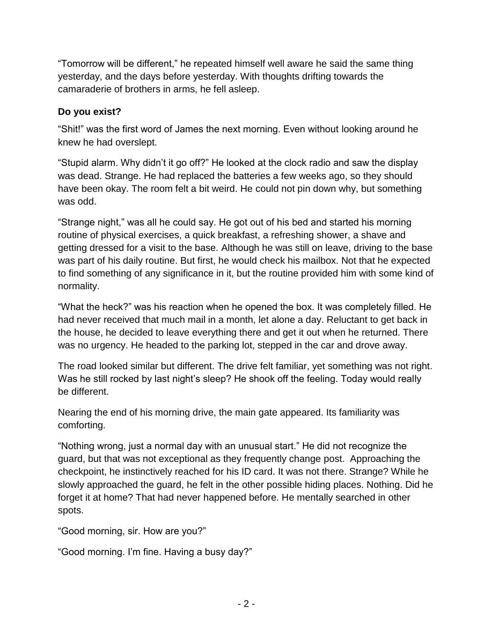"Tomorrow will be different," he repeated himself well aware he said the same thing yesterday, and the days before yesterday. With thoughts drifting towards the camaraderie of brothers in arms, he fell asleep.

## **Do you exist?**

"Shit!" was the first word of James the next morning. Even without looking around he knew he had overslept.

"Stupid alarm. Why didn't it go off?" He looked at the clock radio and saw the display was dead. Strange. He had replaced the batteries a few weeks ago, so they should have been okay. The room felt a bit weird. He could not pin down why, but something was odd.

"Strange night," was all he could say. He got out of his bed and started his morning routine of physical exercises, a quick breakfast, a refreshing shower, a shave and getting dressed for a visit to the base. Although he was still on leave, driving to the base was part of his daily routine. But first, he would check his mailbox. Not that he expected to find something of any significance in it, but the routine provided him with some kind of normality.

"What the heck?" was his reaction when he opened the box. It was completely filled. He had never received that much mail in a month, let alone a day. Reluctant to get back in the house, he decided to leave everything there and get it out when he returned. There was no urgency. He headed to the parking lot, stepped in the car and drove away.

The road looked similar but different. The drive felt familiar, yet something was not right. Was he still rocked by last night's sleep? He shook off the feeling. Today would really be different.

Nearing the end of his morning drive, the main gate appeared. Its familiarity was comforting.

"Nothing wrong, just a normal day with an unusual start." He did not recognize the guard, but that was not exceptional as they frequently change post. Approaching the checkpoint, he instinctively reached for his ID card. It was not there. Strange? While he slowly approached the guard, he felt in the other possible hiding places. Nothing. Did he forget it at home? That had never happened before. He mentally searched in other spots.

"Good morning, sir. How are you?"

"Good morning. I'm fine. Having a busy day?"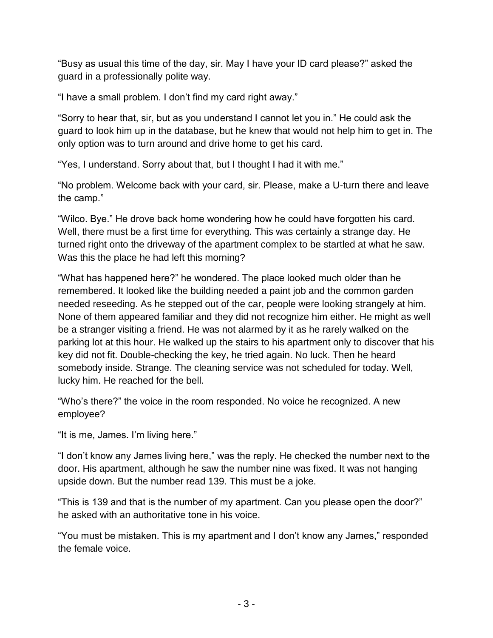"Busy as usual this time of the day, sir. May I have your ID card please?" asked the guard in a professionally polite way.

"I have a small problem. I don't find my card right away."

"Sorry to hear that, sir, but as you understand I cannot let you in." He could ask the guard to look him up in the database, but he knew that would not help him to get in. The only option was to turn around and drive home to get his card.

"Yes, I understand. Sorry about that, but I thought I had it with me."

"No problem. Welcome back with your card, sir. Please, make a U-turn there and leave the camp."

"Wilco. Bye." He drove back home wondering how he could have forgotten his card. Well, there must be a first time for everything. This was certainly a strange day. He turned right onto the driveway of the apartment complex to be startled at what he saw. Was this the place he had left this morning?

"What has happened here?" he wondered. The place looked much older than he remembered. It looked like the building needed a paint job and the common garden needed reseeding. As he stepped out of the car, people were looking strangely at him. None of them appeared familiar and they did not recognize him either. He might as well be a stranger visiting a friend. He was not alarmed by it as he rarely walked on the parking lot at this hour. He walked up the stairs to his apartment only to discover that his key did not fit. Double-checking the key, he tried again. No luck. Then he heard somebody inside. Strange. The cleaning service was not scheduled for today. Well, lucky him. He reached for the bell.

"Who's there?" the voice in the room responded. No voice he recognized. A new employee?

"It is me, James. I'm living here."

"I don't know any James living here," was the reply. He checked the number next to the door. His apartment, although he saw the number nine was fixed. It was not hanging upside down. But the number read 139. This must be a joke.

"This is 139 and that is the number of my apartment. Can you please open the door?" he asked with an authoritative tone in his voice.

"You must be mistaken. This is my apartment and I don't know any James," responded the female voice.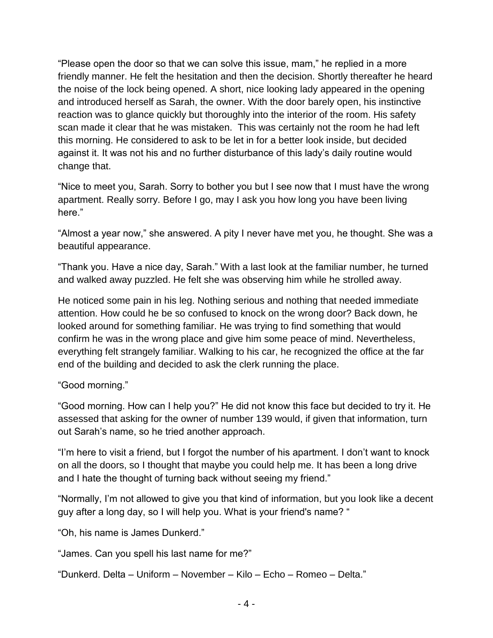"Please open the door so that we can solve this issue, mam," he replied in a more friendly manner. He felt the hesitation and then the decision. Shortly thereafter he heard the noise of the lock being opened. A short, nice looking lady appeared in the opening and introduced herself as Sarah, the owner. With the door barely open, his instinctive reaction was to glance quickly but thoroughly into the interior of the room. His safety scan made it clear that he was mistaken. This was certainly not the room he had left this morning. He considered to ask to be let in for a better look inside, but decided against it. It was not his and no further disturbance of this lady's daily routine would change that.

"Nice to meet you, Sarah. Sorry to bother you but I see now that I must have the wrong apartment. Really sorry. Before I go, may I ask you how long you have been living here."

"Almost a year now," she answered. A pity I never have met you, he thought. She was a beautiful appearance.

"Thank you. Have a nice day, Sarah." With a last look at the familiar number, he turned and walked away puzzled. He felt she was observing him while he strolled away.

He noticed some pain in his leg. Nothing serious and nothing that needed immediate attention. How could he be so confused to knock on the wrong door? Back down, he looked around for something familiar. He was trying to find something that would confirm he was in the wrong place and give him some peace of mind. Nevertheless, everything felt strangely familiar. Walking to his car, he recognized the office at the far end of the building and decided to ask the clerk running the place.

#### "Good morning."

"Good morning. How can I help you?" He did not know this face but decided to try it. He assessed that asking for the owner of number 139 would, if given that information, turn out Sarah's name, so he tried another approach.

"I'm here to visit a friend, but I forgot the number of his apartment. I don't want to knock on all the doors, so I thought that maybe you could help me. It has been a long drive and I hate the thought of turning back without seeing my friend."

"Normally, I'm not allowed to give you that kind of information, but you look like a decent guy after a long day, so I will help you. What is your friend's name? "

"Oh, his name is James Dunkerd."

"James. Can you spell his last name for me?"

"Dunkerd. Delta – Uniform – November – Kilo – Echo – Romeo – Delta."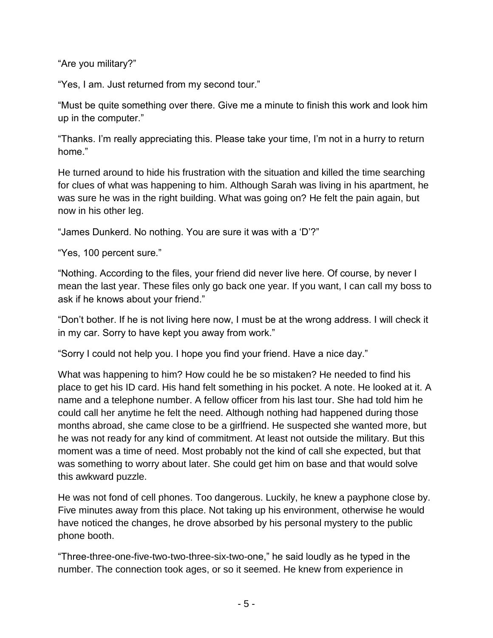"Are you military?"

"Yes, I am. Just returned from my second tour."

"Must be quite something over there. Give me a minute to finish this work and look him up in the computer."

"Thanks. I'm really appreciating this. Please take your time, I'm not in a hurry to return home."

He turned around to hide his frustration with the situation and killed the time searching for clues of what was happening to him. Although Sarah was living in his apartment, he was sure he was in the right building. What was going on? He felt the pain again, but now in his other leg.

"James Dunkerd. No nothing. You are sure it was with a 'D'?"

"Yes, 100 percent sure."

"Nothing. According to the files, your friend did never live here. Of course, by never I mean the last year. These files only go back one year. If you want, I can call my boss to ask if he knows about your friend."

"Don't bother. If he is not living here now, I must be at the wrong address. I will check it in my car. Sorry to have kept you away from work."

"Sorry I could not help you. I hope you find your friend. Have a nice day."

What was happening to him? How could he be so mistaken? He needed to find his place to get his ID card. His hand felt something in his pocket. A note. He looked at it. A name and a telephone number. A fellow officer from his last tour. She had told him he could call her anytime he felt the need. Although nothing had happened during those months abroad, she came close to be a girlfriend. He suspected she wanted more, but he was not ready for any kind of commitment. At least not outside the military. But this moment was a time of need. Most probably not the kind of call she expected, but that was something to worry about later. She could get him on base and that would solve this awkward puzzle.

He was not fond of cell phones. Too dangerous. Luckily, he knew a payphone close by. Five minutes away from this place. Not taking up his environment, otherwise he would have noticed the changes, he drove absorbed by his personal mystery to the public phone booth.

"Three-three-one-five-two-two-three-six-two-one," he said loudly as he typed in the number. The connection took ages, or so it seemed. He knew from experience in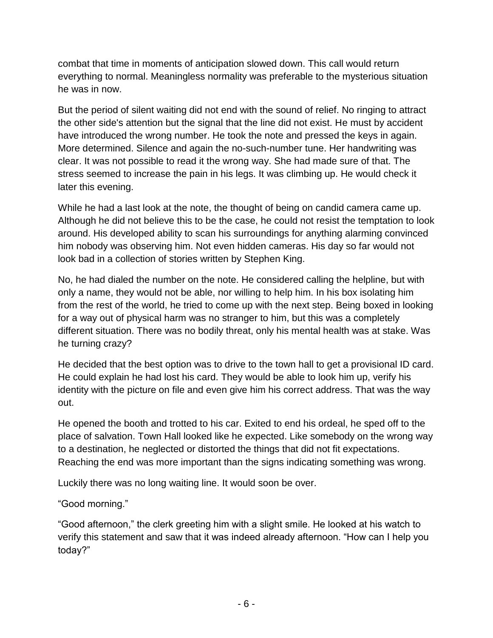combat that time in moments of anticipation slowed down. This call would return everything to normal. Meaningless normality was preferable to the mysterious situation he was in now.

But the period of silent waiting did not end with the sound of relief. No ringing to attract the other side's attention but the signal that the line did not exist. He must by accident have introduced the wrong number. He took the note and pressed the keys in again. More determined. Silence and again the no-such-number tune. Her handwriting was clear. It was not possible to read it the wrong way. She had made sure of that. The stress seemed to increase the pain in his legs. It was climbing up. He would check it later this evening.

While he had a last look at the note, the thought of being on candid camera came up. Although he did not believe this to be the case, he could not resist the temptation to look around. His developed ability to scan his surroundings for anything alarming convinced him nobody was observing him. Not even hidden cameras. His day so far would not look bad in a collection of stories written by Stephen King.

No, he had dialed the number on the note. He considered calling the helpline, but with only a name, they would not be able, nor willing to help him. In his box isolating him from the rest of the world, he tried to come up with the next step. Being boxed in looking for a way out of physical harm was no stranger to him, but this was a completely different situation. There was no bodily threat, only his mental health was at stake. Was he turning crazy?

He decided that the best option was to drive to the town hall to get a provisional ID card. He could explain he had lost his card. They would be able to look him up, verify his identity with the picture on file and even give him his correct address. That was the way out.

He opened the booth and trotted to his car. Exited to end his ordeal, he sped off to the place of salvation. Town Hall looked like he expected. Like somebody on the wrong way to a destination, he neglected or distorted the things that did not fit expectations. Reaching the end was more important than the signs indicating something was wrong.

Luckily there was no long waiting line. It would soon be over.

## "Good morning."

"Good afternoon," the clerk greeting him with a slight smile. He looked at his watch to verify this statement and saw that it was indeed already afternoon. "How can I help you today?"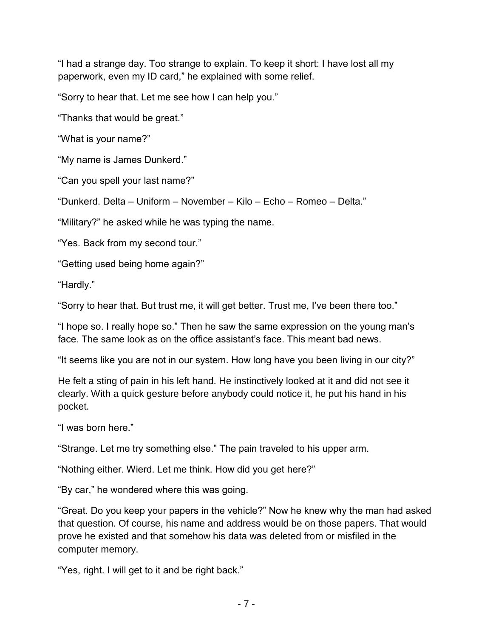"I had a strange day. Too strange to explain. To keep it short: I have lost all my paperwork, even my ID card," he explained with some relief.

"Sorry to hear that. Let me see how I can help you."

"Thanks that would be great."

"What is your name?"

"My name is James Dunkerd."

"Can you spell your last name?"

"Dunkerd. Delta – Uniform – November – Kilo – Echo – Romeo – Delta."

"Military?" he asked while he was typing the name.

"Yes. Back from my second tour."

"Getting used being home again?"

"Hardly."

"Sorry to hear that. But trust me, it will get better. Trust me, I've been there too."

"I hope so. I really hope so." Then he saw the same expression on the young man's face. The same look as on the office assistant's face. This meant bad news.

"It seems like you are not in our system. How long have you been living in our city?"

He felt a sting of pain in his left hand. He instinctively looked at it and did not see it clearly. With a quick gesture before anybody could notice it, he put his hand in his pocket.

"I was born here."

"Strange. Let me try something else." The pain traveled to his upper arm.

"Nothing either. Wierd. Let me think. How did you get here?"

"By car," he wondered where this was going.

"Great. Do you keep your papers in the vehicle?" Now he knew why the man had asked that question. Of course, his name and address would be on those papers. That would prove he existed and that somehow his data was deleted from or misfiled in the computer memory.

"Yes, right. I will get to it and be right back."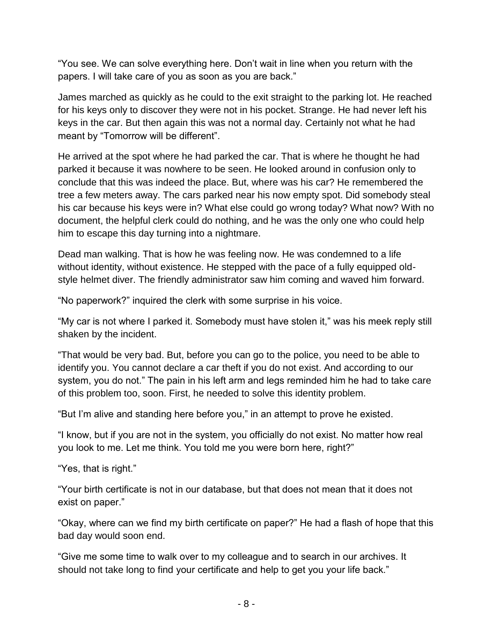"You see. We can solve everything here. Don't wait in line when you return with the papers. I will take care of you as soon as you are back."

James marched as quickly as he could to the exit straight to the parking lot. He reached for his keys only to discover they were not in his pocket. Strange. He had never left his keys in the car. But then again this was not a normal day. Certainly not what he had meant by "Tomorrow will be different".

He arrived at the spot where he had parked the car. That is where he thought he had parked it because it was nowhere to be seen. He looked around in confusion only to conclude that this was indeed the place. But, where was his car? He remembered the tree a few meters away. The cars parked near his now empty spot. Did somebody steal his car because his keys were in? What else could go wrong today? What now? With no document, the helpful clerk could do nothing, and he was the only one who could help him to escape this day turning into a nightmare.

Dead man walking. That is how he was feeling now. He was condemned to a life without identity, without existence. He stepped with the pace of a fully equipped oldstyle helmet diver. The friendly administrator saw him coming and waved him forward.

"No paperwork?" inquired the clerk with some surprise in his voice.

"My car is not where I parked it. Somebody must have stolen it," was his meek reply still shaken by the incident.

"That would be very bad. But, before you can go to the police, you need to be able to identify you. You cannot declare a car theft if you do not exist. And according to our system, you do not." The pain in his left arm and legs reminded him he had to take care of this problem too, soon. First, he needed to solve this identity problem.

"But I'm alive and standing here before you," in an attempt to prove he existed.

"I know, but if you are not in the system, you officially do not exist. No matter how real you look to me. Let me think. You told me you were born here, right?"

"Yes, that is right."

"Your birth certificate is not in our database, but that does not mean that it does not exist on paper."

"Okay, where can we find my birth certificate on paper?" He had a flash of hope that this bad day would soon end.

"Give me some time to walk over to my colleague and to search in our archives. It should not take long to find your certificate and help to get you your life back."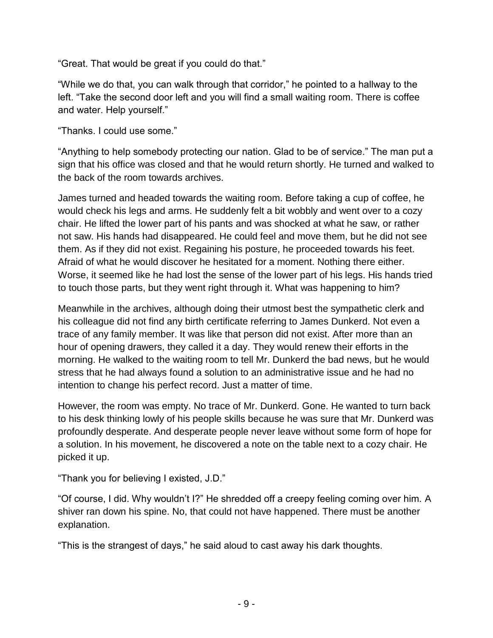"Great. That would be great if you could do that."

"While we do that, you can walk through that corridor," he pointed to a hallway to the left. "Take the second door left and you will find a small waiting room. There is coffee and water. Help yourself."

"Thanks. I could use some."

"Anything to help somebody protecting our nation. Glad to be of service." The man put a sign that his office was closed and that he would return shortly. He turned and walked to the back of the room towards archives.

James turned and headed towards the waiting room. Before taking a cup of coffee, he would check his legs and arms. He suddenly felt a bit wobbly and went over to a cozy chair. He lifted the lower part of his pants and was shocked at what he saw, or rather not saw. His hands had disappeared. He could feel and move them, but he did not see them. As if they did not exist. Regaining his posture, he proceeded towards his feet. Afraid of what he would discover he hesitated for a moment. Nothing there either. Worse, it seemed like he had lost the sense of the lower part of his legs. His hands tried to touch those parts, but they went right through it. What was happening to him?

Meanwhile in the archives, although doing their utmost best the sympathetic clerk and his colleague did not find any birth certificate referring to James Dunkerd. Not even a trace of any family member. It was like that person did not exist. After more than an hour of opening drawers, they called it a day. They would renew their efforts in the morning. He walked to the waiting room to tell Mr. Dunkerd the bad news, but he would stress that he had always found a solution to an administrative issue and he had no intention to change his perfect record. Just a matter of time.

However, the room was empty. No trace of Mr. Dunkerd. Gone. He wanted to turn back to his desk thinking lowly of his people skills because he was sure that Mr. Dunkerd was profoundly desperate. And desperate people never leave without some form of hope for a solution. In his movement, he discovered a note on the table next to a cozy chair. He picked it up.

"Thank you for believing I existed, J.D."

"Of course, I did. Why wouldn't I?" He shredded off a creepy feeling coming over him. A shiver ran down his spine. No, that could not have happened. There must be another explanation.

"This is the strangest of days," he said aloud to cast away his dark thoughts.